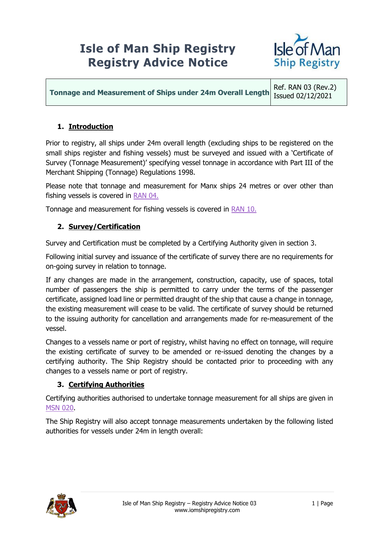## **Isle of Man Ship Registry Registry Advice Notice**



**Tonnage and Measurement of Ships under 24m Overall Length**

Ref. RAN 03 (Rev.2) Issued 02/12/2021

## **1. Introduction**

Prior to registry, all ships under 24m overall length (excluding ships to be registered on the small ships register and fishing vessels) must be surveyed and issued with a 'Certificate of Survey (Tonnage Measurement)' specifying vessel tonnage in accordance with Part III of the Merchant Shipping (Tonnage) Regulations 1998.

Please note that tonnage and measurement for Manx ships 24 metres or over other than fishing vessels is covered in [RAN 04.](https://www.iomshipregistry.com/media/1254/ran-04-the-merchant-shipping-tonnage-regulations-1998.pdf)

Tonnage and measurement for fishing vessels is covered in [RAN 10.](https://www.iomshipregistry.com/media/1259/ran-10-registration-of-fishing-vessels-in-the-isle-of-man.pdf)

## **2. Survey/Certification**

Survey and Certification must be completed by a Certifying Authority given in section 3.

Following initial survey and issuance of the certificate of survey there are no requirements for on-going survey in relation to tonnage.

If any changes are made in the arrangement, construction, capacity, use of spaces, total number of passengers the ship is permitted to carry under the terms of the passenger certificate, assigned load line or permitted draught of the ship that cause a change in tonnage, the existing measurement will cease to be valid. The certificate of survey should be returned to the issuing authority for cancellation and arrangements made for re-measurement of the vessel.

Changes to a vessels name or port of registry, whilst having no effect on tonnage, will require the existing certificate of survey to be amended or re-issued denoting the changes by a certifying authority. The Ship Registry should be contacted prior to proceeding with any changes to a vessels name or port of registry.

## **3. Certifying Authorities**

Certifying authorities authorised to undertake tonnage measurement for all ships are given in [MSN 020.](https://www.iomshipregistry.com/media/1382/msn-020-recognised-organisations-july-amendment.pdf)

The Ship Registry will also accept tonnage measurements undertaken by the following listed authorities for vessels under 24m in length overall: